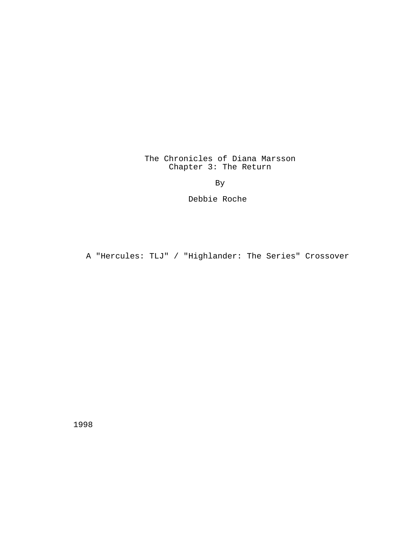# The Chronicles of Diana Marsson Chapter 3: The Return

By

Debbie Roche

A "Hercules: TLJ" / "Highlander: The Series" Crossover

1998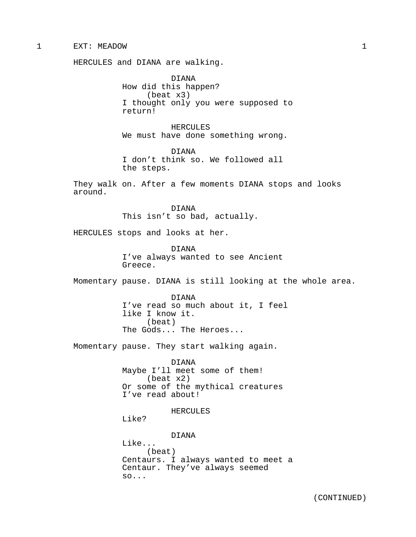## 1 EXT: MEADOW 1

HERCULES and DIANA are walking.

DIANA How did this happen? (beat x3) I thought only you were supposed to return!

HERCULES We must have done something wrong.

DIANA I don't think so. We followed all the steps.

They walk on. After a few moments DIANA stops and looks around.

> DIANA This isn't so bad, actually.

HERCULES stops and looks at her.

DIANA I've always wanted to see Ancient Greece.

Momentary pause. DIANA is still looking at the whole area.

DIANA I've read so much about it, I feel like I know it. (beat) The Gods... The Heroes...

Momentary pause. They start walking again.

DIANA Maybe I'll meet some of them! (beat x2) Or some of the mythical creatures I've read about!

HERCULES

Like?

DIANA Like... (beat) Centaurs. I always wanted to meet a Centaur. They've always seemed so...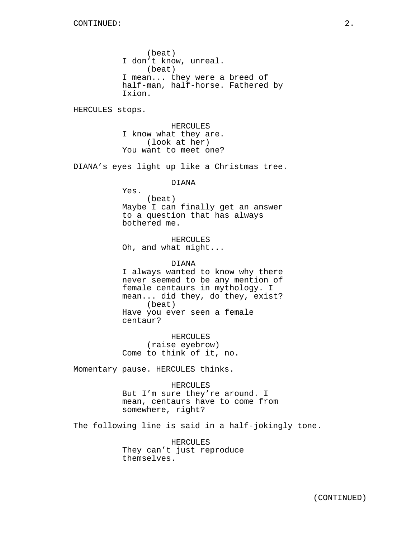(beat) I don't know, unreal. (beat) I mean... they were a breed of half-man, half-horse. Fathered by Ixion.

HERCULES stops.

HERCULES I know what they are. (look at her) You want to meet one?

DIANA's eyes light up like a Christmas tree.

## DIANA

Yes. (beat) Maybe I can finally get an answer to a question that has always bothered me.

HERCULES Oh, and what might...

DIANA I always wanted to know why there never seemed to be any mention of female centaurs in mythology. I mean... did they, do they, exist? (beat) Have you ever seen a female centaur?

HERCULES (raise eyebrow) Come to think of it, no.

Momentary pause. HERCULES thinks.

#### HERCULES

But I'm sure they're around. I mean, centaurs have to come from somewhere, right?

The following line is said in a half-jokingly tone.

HERCULES They can't just reproduce themselves.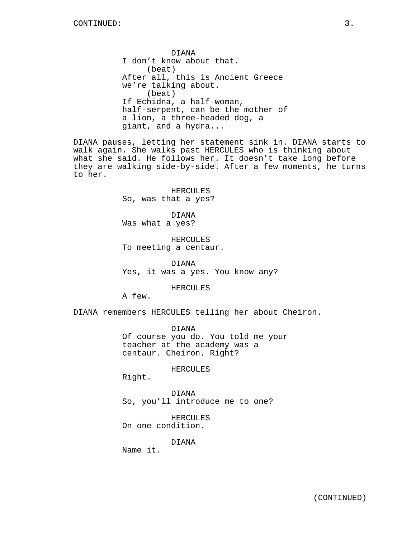DIANA I don't know about that. (beat) After all, this is Ancient Greece we're talking about. (beat) If Echidna, a half-woman, half-serpent, can be the mother of a lion, a three-headed dog, a giant, and a hydra...

DIANA pauses, letting her statement sink in. DIANA starts to walk again. She walks past HERCULES who is thinking about what she said. He follows her. It doesn't take long before they are walking side-by-side. After a few moments, he turns to her.

> HERCULES So, was that a yes?

DIANA Was what a yes?

HERCULES To meeting a centaur.

DIANA Yes, it was a yes. You know any?

HERCULES

A few.

DIANA remembers HERCULES telling her about Cheiron.

DIANA Of course you do. You told me your teacher at the academy was a centaur. Cheiron. Right?

HERCULES

Right.

DIANA So, you'll introduce me to one?

HERCULES On one condition.

DIANA

Name it.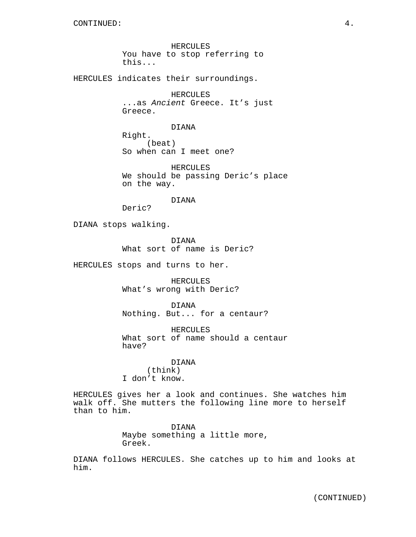HERCULES You have to stop referring to this...

HERCULES indicates their surroundings.

HERCULES ...as Ancient Greece. It's just Greece.

DIANA

Right. (beat) So when can I meet one?

HERCULES We should be passing Deric's place on the way.

DIANA

Deric?

DIANA stops walking.

DIANA What sort of name is Deric?

HERCULES stops and turns to her.

HERCULES What's wrong with Deric?

DIANA Nothing. But... for a centaur?

HERCULES What sort of name should a centaur have?

DIANA (think) I don't know.

HERCULES gives her a look and continues. She watches him walk off. She mutters the following line more to herself than to him.

> DIANA Maybe something a little more, Greek.

DIANA follows HERCULES. She catches up to him and looks at him.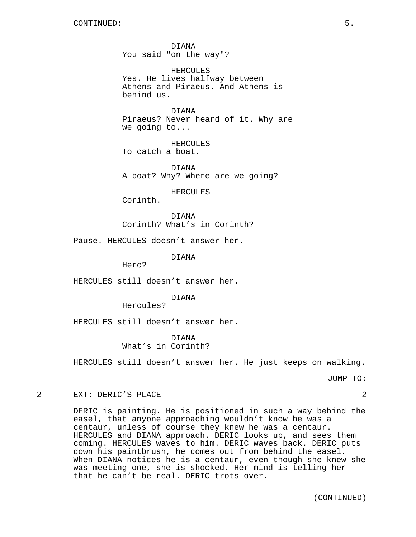DIANA You said "on the way"?

HERCULES Yes. He lives halfway between Athens and Piraeus. And Athens is behind us.

DIANA Piraeus? Never heard of it. Why are we going to...

HERCULES To catch a boat.

DIANA A boat? Why? Where are we going?

HERCULES

Corinth.

DIANA Corinth? What's in Corinth?

Pause. HERCULES doesn't answer her.

DIANA

Herc?

HERCULES still doesn't answer her.

DIANA

Hercules?

HERCULES still doesn't answer her.

DIANA What's in Corinth?

HERCULES still doesn't answer her. He just keeps on walking.

JUMP TO:

2 EXT: DERIC'S PLACE 2

DERIC is painting. He is positioned in such a way behind the easel, that anyone approaching wouldn't know he was a centaur, unless of course they knew he was a centaur. HERCULES and DIANA approach. DERIC looks up, and sees them coming. HERCULES waves to him. DERIC waves back. DERIC puts down his paintbrush, he comes out from behind the easel. When DIANA notices he is a centaur, even though she knew she was meeting one, she is shocked. Her mind is telling her that he can't be real. DERIC trots over.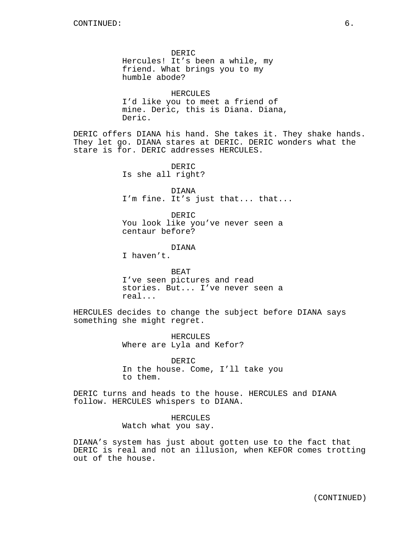DERIC Hercules! It's been a while, my friend. What brings you to my humble abode? HERCULES I'd like you to meet a friend of mine. Deric, this is Diana. Diana, Deric. DERIC offers DIANA his hand. She takes it. They shake hands. They let go. DIANA stares at DERIC. DERIC wonders what the stare is for. DERIC addresses HERCULES. DERIC Is she all right? DIANA I'm fine. It's just that... that... DERIC You look like you've never seen a centaur before? DIANA I haven't. BEAT I've seen pictures and read stories. But... I've never seen a real... HERCULES decides to change the subject before DIANA says something she might regret. HERCULES Where are Lyla and Kefor? DERIC

In the house. Come, I'll take you to them.

DERIC turns and heads to the house. HERCULES and DIANA follow. HERCULES whispers to DIANA.

> HERCULES Watch what you say.

DIANA's system has just about gotten use to the fact that DERIC is real and not an illusion, when KEFOR comes trotting out of the house.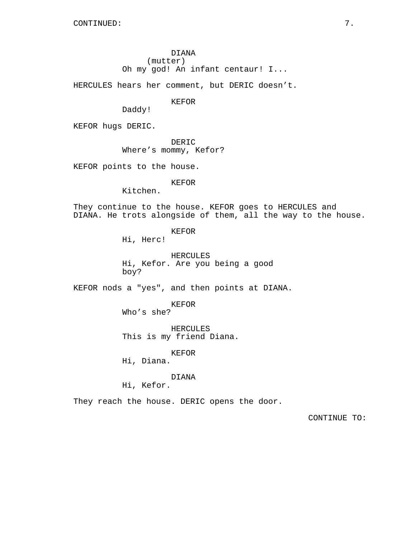DIANA (mutter) Oh my god! An infant centaur! I...

HERCULES hears her comment, but DERIC doesn't.

KEFOR

Daddy!

KEFOR hugs DERIC.

DERIC

Where's mommy, Kefor?

KEFOR points to the house.

### KEFOR

Kitchen.

They continue to the house. KEFOR goes to HERCULES and DIANA. He trots alongside of them, all the way to the house.

KEFOR

Hi, Herc!

HERCULES Hi, Kefor. Are you being a good boy?

KEFOR nods a "yes", and then points at DIANA.

KEFOR Who's she?

HERCULES This is my friend Diana.

KEFOR

Hi, Diana.

DIANA

Hi, Kefor.

They reach the house. DERIC opens the door.

CONTINUE TO: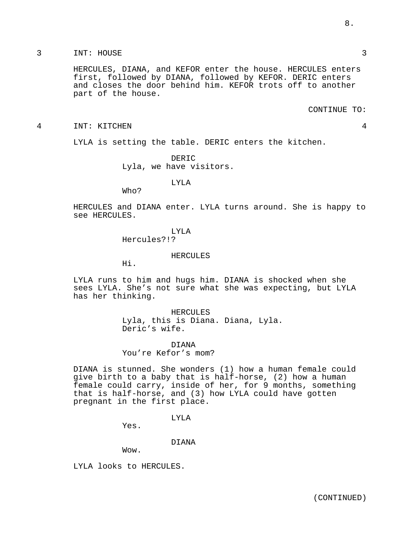HERCULES, DIANA, and KEFOR enter the house. HERCULES enters first, followed by DIANA, followed by KEFOR. DERIC enters and closes the door behind him. KEFOR trots off to another part of the house.

CONTINUE TO:

4 INT: KITCHEN 4

LYLA is setting the table. DERIC enters the kitchen.

DERIC Lyla, we have visitors.

LYLA

Who?

HERCULES and DIANA enter. LYLA turns around. She is happy to see HERCULES.

## LYLA

Hercules?!?

HERCULES

Hi.

LYLA runs to him and hugs him. DIANA is shocked when she sees LYLA. She's not sure what she was expecting, but LYLA has her thinking.

> HERCULES Lyla, this is Diana. Diana, Lyla. Deric's wife.

#### DIANA

You're Kefor's mom?

DIANA is stunned. She wonders (1) how a human female could give birth to a baby that is half-horse, (2) how a human female could carry, inside of her, for 9 months, something that is half-horse, and (3) how LYLA could have gotten pregnant in the first place.

LYLA

Yes.

#### DIANA

Wow.

LYLA looks to HERCULES.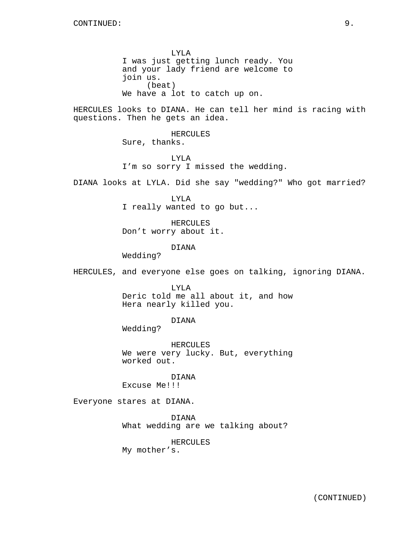LYLA I was just getting lunch ready. You and your lady friend are welcome to join us. (beat) We have a lot to catch up on.

HERCULES looks to DIANA. He can tell her mind is racing with questions. Then he gets an idea.

> HERCULES Sure, thanks.

LYLA I'm so sorry I missed the wedding.

DIANA looks at LYLA. Did she say "wedding?" Who got married?

LYLA I really wanted to go but...

HERCULES Don't worry about it.

DIANA

Wedding?

HERCULES, and everyone else goes on talking, ignoring DIANA.

LYLA Deric told me all about it, and how Hera nearly killed you.

DIANA

Wedding?

HERCULES We were very lucky. But, everything worked out.

DIANA Excuse Me!!!

Everyone stares at DIANA.

DIANA What wedding are we talking about?

HERCULES

My mother's.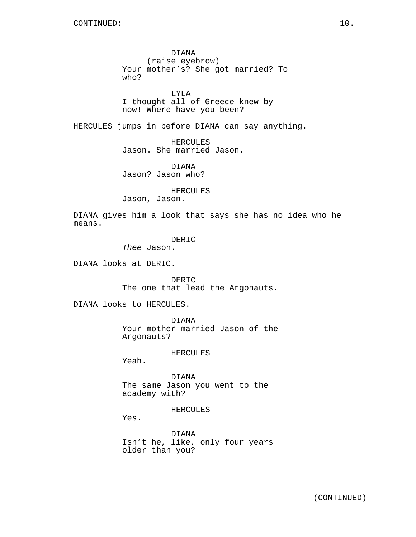DIANA (raise eyebrow) Your mother's? She got married? To who?

LYLA I thought all of Greece knew by now! Where have you been?

HERCULES jumps in before DIANA can say anything.

HERCULES Jason. She married Jason.

DIANA Jason? Jason who?

HERCULES

Jason, Jason.

DIANA gives him a look that says she has no idea who he means.

DERIC

Thee Jason.

DIANA looks at DERIC.

DERIC The one that lead the Argonauts.

DIANA looks to HERCULES.

DIANA Your mother married Jason of the Argonauts?

HERCULES

Yeah.

DIANA The same Jason you went to the academy with?

HERCULES

Yes.

DIANA Isn't he, like, only four years older than you?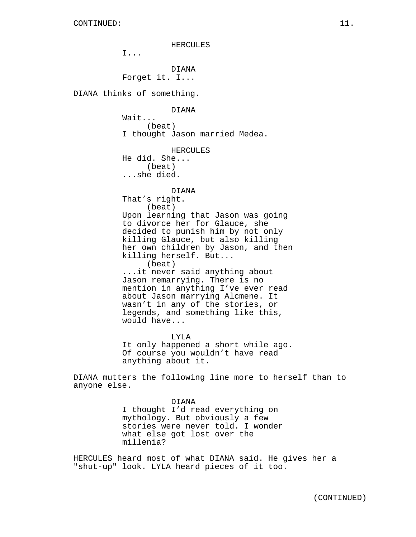HERCULES I... DIANA Forget it. I... DIANA thinks of something. DIANA Wait... (beat) I thought Jason married Medea. **HERCULES** He did. She... (beat) ...she died. DIANA That's right. (beat) Upon learning that Jason was going to divorce her for Glauce, she decided to punish him by not only killing Glauce, but also killing her own children by Jason, and then killing herself. But... (beat) ...it never said anything about Jason remarrying. There is no mention in anything I've ever read about Jason marrying Alcmene. It wasn't in any of the stories, or legends, and something like this, would have... LYLA It only happened a short while ago. Of course you wouldn't have read anything about it. DIANA mutters the following line more to herself than to anyone else. DIANA I thought I'd read everything on

mythology. But obviously a few stories were never told. I wonder what else got lost over the millenia?

HERCULES heard most of what DIANA said. He gives her a "shut-up" look. LYLA heard pieces of it too.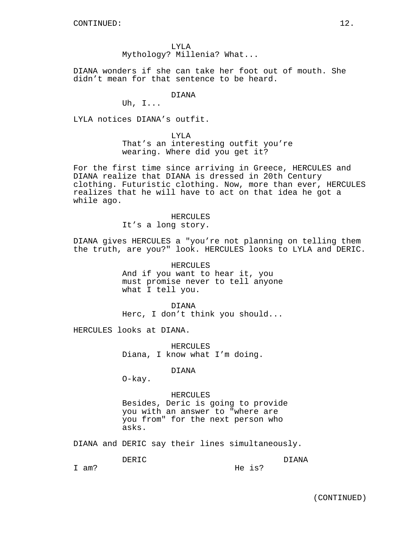LYLA Mythology? Millenia? What...

DIANA wonders if she can take her foot out of mouth. She didn't mean for that sentence to be heard.

#### DIANA

Uh, I...

LYLA notices DIANA's outfit.

LYLA That's an interesting outfit you're wearing. Where did you get it?

For the first time since arriving in Greece, HERCULES and DIANA realize that DIANA is dressed in 20th Century clothing. Futuristic clothing. Now, more than ever, HERCULES realizes that he will have to act on that idea he got a while ago.

> HERCULES It's a long story.

DIANA gives HERCULES a "you're not planning on telling them the truth, are you?" look. HERCULES looks to LYLA and DERIC.

> HERCULES And if you want to hear it, you must promise never to tell anyone what I tell you.

> DIANA Herc, I don't think you should...

HERCULES looks at DIANA.

HERCULES Diana, I know what I'm doing.

DIANA

O-kay.

HERCULES Besides, Deric is going to provide you with an answer to "where are you from" for the next person who asks.

DIANA and DERIC say their lines simultaneously.

DERIC DIANA

I am?

He is?

(CONTINUED)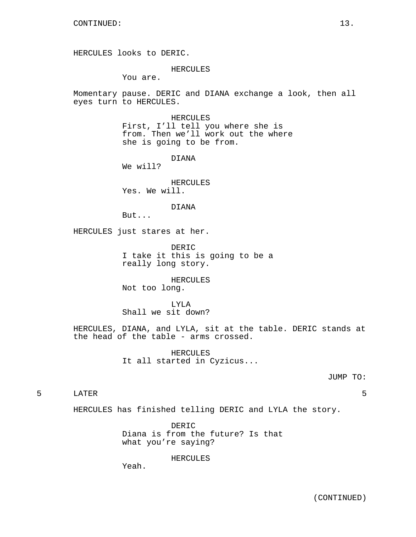HERCULES looks to DERIC.

#### HERCULES

You are.

Momentary pause. DERIC and DIANA exchange a look, then all eyes turn to HERCULES.

> HERCULES First, I'll tell you where she is from. Then we'll work out the where she is going to be from.

> > DIANA

We will?

HERCULES Yes. We will.

DIANA

But...

HERCULES just stares at her.

DERIC I take it this is going to be a really long story.

HERCULES Not too long.

LYLA Shall we sit down?

HERCULES, DIANA, and LYLA, sit at the table. DERIC stands at the head of the table - arms crossed.

> HERCULES It all started in Cyzicus...

> > JUMP TO:

5 LATER 5

HERCULES has finished telling DERIC and LYLA the story.

DERIC Diana is from the future? Is that what you're saying?

HERCULES

Yeah.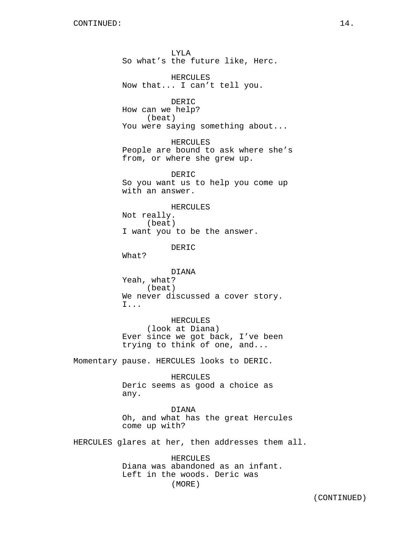LYLA So what's the future like, Herc. HERCULES Now that... I can't tell you. DERIC How can we help? (beat) You were saying something about... HERCULES People are bound to ask where she's from, or where she grew up. DERIC So you want us to help you come up with an answer. HERCULES Not really. (beat) I want you to be the answer. DERIC What? DIANA Yeah, what? (beat) We never discussed a cover story. I... HERCULES (look at Diana) Ever since we got back, I've been trying to think of one, and... Momentary pause. HERCULES looks to DERIC. HERCULES Deric seems as good a choice as any. DIANA Oh, and what has the great Hercules come up with? HERCULES glares at her, then addresses them all. HERCULES

Diana was abandoned as an infant. Left in the woods. Deric was (MORE)

(CONTINUED)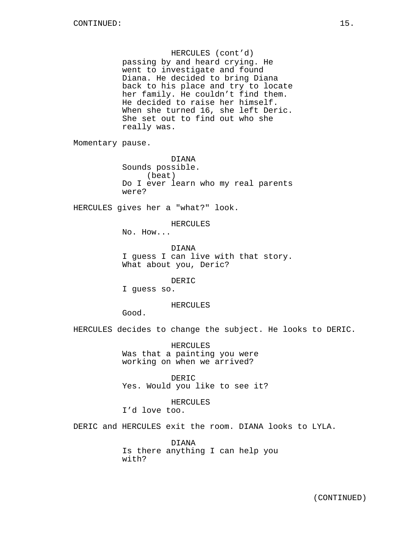## HERCULES (cont'd)

passing by and heard crying. He went to investigate and found Diana. He decided to bring Diana back to his place and try to locate her family. He couldn't find them. He decided to raise her himself. When she turned 16, she left Deric. She set out to find out who she really was.

Momentary pause.

DIANA Sounds possible. (beat) Do I ever learn who my real parents were?

HERCULES gives her a "what?" look.

# HERCULES

No. How...

#### DIANA

I guess I can live with that story. What about you, Deric?

#### DERIC

I guess so.

### HERCULES

Good.

HERCULES decides to change the subject. He looks to DERIC.

HERCULES Was that a painting you were working on when we arrived?

DERIC Yes. Would you like to see it?

### HERCULES I'd love too.

DERIC and HERCULES exit the room. DIANA looks to LYLA.

DIANA Is there anything I can help you with?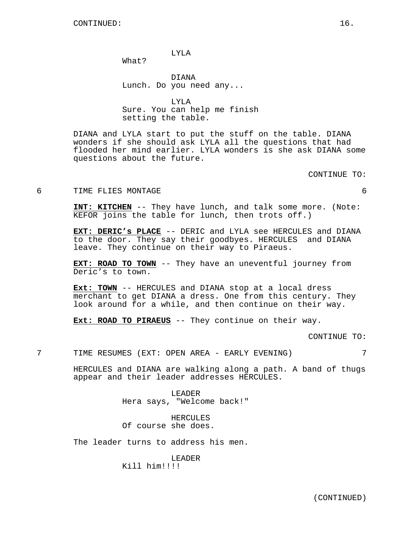LYLA

What?

DIANA Lunch. Do you need any...

LYLA Sure. You can help me finish setting the table.

DIANA and LYLA start to put the stuff on the table. DIANA wonders if she should ask LYLA all the questions that had flooded her mind earlier. LYLA wonders is she ask DIANA some questions about the future.

CONTINUE TO:

6 TIME FLIES MONTAGE 6

**INT: KITCHEN** -- They have lunch, and talk some more. (Note: KEFOR joins the table for lunch, then trots off.)

**EXT: DERIC's PLACE** -- DERIC and LYLA see HERCULES and DIANA to the door. They say their goodbyes. HERCULES and DIANA leave. They continue on their way to Piraeus.

**EXT: ROAD TO TOWN** -- They have an uneventful journey from Deric's to town.

**Ext: TOWN** -- HERCULES and DIANA stop at a local dress merchant to get DIANA a dress. One from this century. They look around for a while, and then continue on their way.

**Ext: ROAD TO PIRAEUS** -- They continue on their way.

CONTINUE TO:

7 TIME RESUMES (EXT: OPEN AREA - EARLY EVENING) 7

HERCULES and DIANA are walking along a path. A band of thugs appear and their leader addresses HERCULES.

> LEADER Hera says, "Welcome back!"

HERCULES Of course she does.

The leader turns to address his men.

LEADER Kill him!!!!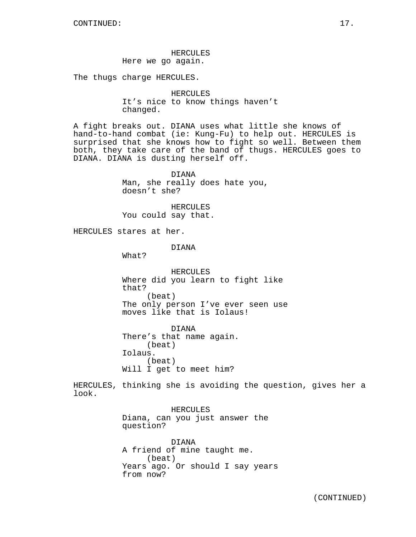## HERCULES Here we go again.

The thugs charge HERCULES.

HERCULES It's nice to know things haven't changed.

A fight breaks out. DIANA uses what little she knows of hand-to-hand combat (ie: Kung-Fu) to help out. HERCULES is surprised that she knows how to fight so well. Between them both, they take care of the band of thugs. HERCULES goes to DIANA. DIANA is dusting herself off.

> DIANA Man, she really does hate you, doesn't she?

HERCULES You could say that.

HERCULES stares at her.

DIANA

What?

HERCULES Where did you learn to fight like that? (beat) The only person I've ever seen use moves like that is Iolaus!

DIANA There's that name again. (beat) Iolaus. (beat) Will I get to meet him?

HERCULES, thinking she is avoiding the question, gives her a look.

> HERCULES Diana, can you just answer the question?

DIANA A friend of mine taught me. (beat) Years ago. Or should I say years from now?

(CONTINUED)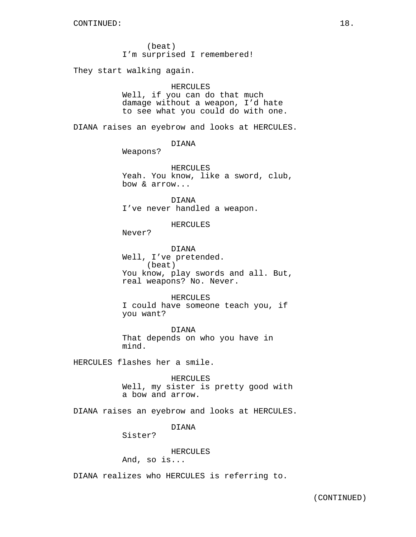(beat) I'm surprised I remembered!

They start walking again.

### HERCULES

Well, if you can do that much damage without a weapon, I'd hate to see what you could do with one.

DIANA raises an eyebrow and looks at HERCULES.

DIANA

Weapons?

HERCULES Yeah. You know, like a sword, club, bow & arrow...

DIANA I've never handled a weapon.

HERCULES

Never?

DIANA Well, I've pretended. (beat) You know, play swords and all. But, real weapons? No. Never.

HERCULES I could have someone teach you, if you want?

DIANA That depends on who you have in mind.

HERCULES flashes her a smile.

HERCULES Well, my sister is pretty good with a bow and arrow.

DIANA raises an eyebrow and looks at HERCULES.

DIANA

Sister?

### HERCULES

And, so is...

DIANA realizes who HERCULES is referring to.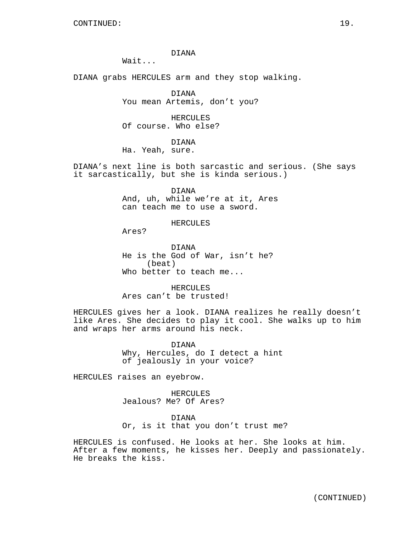DIANA

Wait...

DIANA grabs HERCULES arm and they stop walking.

DIANA You mean Artemis, don't you?

HERCULES Of course. Who else?

DIANA

Ha. Yeah, sure.

DIANA's next line is both sarcastic and serious. (She says it sarcastically, but she is kinda serious.)

> DIANA And, uh, while we're at it, Ares can teach me to use a sword.

> > HERCULES

Ares?

DIANA He is the God of War, isn't he? (beat) Who better to teach me...

HERCULES Ares can't be trusted!

HERCULES gives her a look. DIANA realizes he really doesn't like Ares. She decides to play it cool. She walks up to him and wraps her arms around his neck.

> DIANA Why, Hercules, do I detect a hint of jealously in your voice?

HERCULES raises an eyebrow.

HERCULES Jealous? Me? Of Ares?

DIANA Or, is it that you don't trust me?

HERCULES is confused. He looks at her. She looks at him. After a few moments, he kisses her. Deeply and passionately. He breaks the kiss.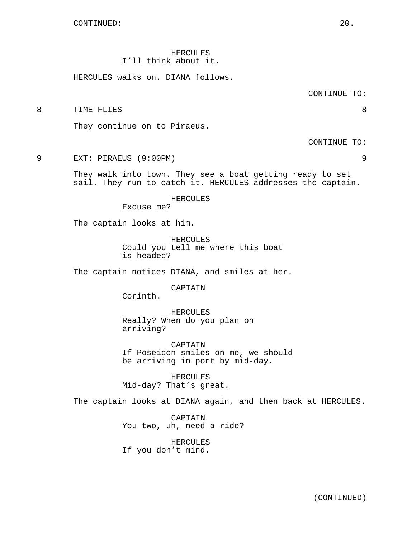HERCULES I'll think about it.

HERCULES walks on. DIANA follows.

CONTINUE TO:

8 TIME FLIES 8

They continue on to Piraeus.

CONTINUE TO:

9 EXT: PIRAEUS (9:00PM) 9

They walk into town. They see a boat getting ready to set sail. They run to catch it. HERCULES addresses the captain.

HERCULES

Excuse me?

The captain looks at him.

HERCULES Could you tell me where this boat is headed?

The captain notices DIANA, and smiles at her.

CAPTAIN

Corinth.

HERCULES Really? When do you plan on arriving?

CAPTAIN If Poseidon smiles on me, we should be arriving in port by mid-day.

HERCULES Mid-day? That's great.

The captain looks at DIANA again, and then back at HERCULES.

CAPTAIN You two, uh, need a ride?

HERCULES If you don't mind.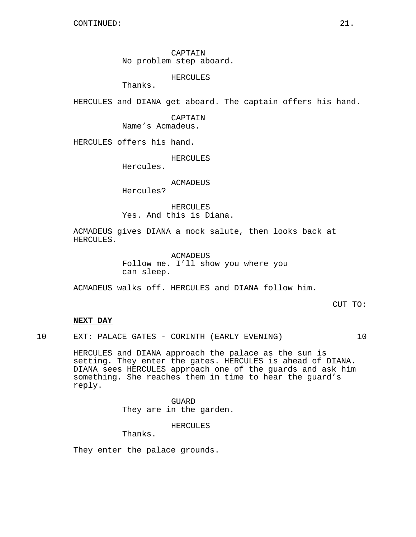CAPTAIN No problem step aboard.

HERCULES

Thanks.

HERCULES and DIANA get aboard. The captain offers his hand.

CAPTAIN Name's Acmadeus.

HERCULES offers his hand.

HERCULES

Hercules.

ACMADEUS

Hercules?

HERCULES Yes. And this is Diana.

ACMADEUS gives DIANA a mock salute, then looks back at HERCULES.

> ACMADEUS Follow me. I'll show you where you can sleep.

ACMADEUS walks off. HERCULES and DIANA follow him.

CUT TO:

## **NEXT DAY**

10 EXT: PALACE GATES - CORINTH (EARLY EVENING) 10

HERCULES and DIANA approach the palace as the sun is setting. They enter the gates. HERCULES is ahead of DIANA. DIANA sees HERCULES approach one of the guards and ask him something. She reaches them in time to hear the guard's reply.

> GUARD They are in the garden.

> > HERCULES

Thanks.

They enter the palace grounds.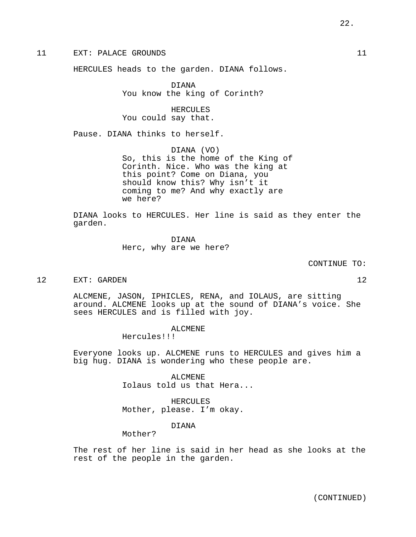11 EXT: PALACE GROUNDS 11

HERCULES heads to the garden. DIANA follows.

DIANA You know the king of Corinth?

HERCULES You could say that.

Pause. DIANA thinks to herself.

DIANA (VO) So, this is the home of the King of Corinth. Nice. Who was the king at this point? Come on Diana, you should know this? Why isn't it coming to me? And why exactly are we here?

DIANA looks to HERCULES. Her line is said as they enter the garden.

> DIANA Herc, why are we here?

> > CONTINUE TO:

12 EXT: GARDEN 12

ALCMENE, JASON, IPHICLES, RENA, and IOLAUS, are sitting around. ALCMENE looks up at the sound of DIANA's voice. She sees HERCULES and is filled with joy.

ALCMENE

Hercules!!!

Everyone looks up. ALCMENE runs to HERCULES and gives him a big hug. DIANA is wondering who these people are.

> ALCMENE Iolaus told us that Hera...

HERCULES Mother, please. I'm okay.

DIANA

Mother?

The rest of her line is said in her head as she looks at the rest of the people in the garden.

(CONTINUED)

22.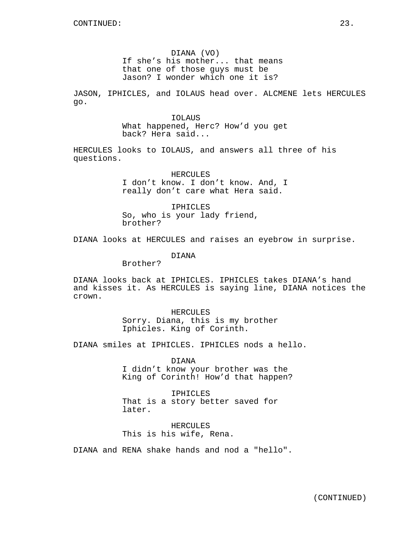DIANA (VO) If she's his mother... that means that one of those guys must be Jason? I wonder which one it is?

JASON, IPHICLES, and IOLAUS head over. ALCMENE lets HERCULES go.

> IOLAUS What happened, Herc? How'd you get back? Hera said...

HERCULES looks to IOLAUS, and answers all three of his questions.

> HERCULES I don't know. I don't know. And, I really don't care what Hera said.

IPHICLES So, who is your lady friend, brother?

DIANA looks at HERCULES and raises an eyebrow in surprise.

DIANA

Brother?

DIANA looks back at IPHICLES. IPHICLES takes DIANA's hand and kisses it. As HERCULES is saying line, DIANA notices the crown.

> HERCULES Sorry. Diana, this is my brother Iphicles. King of Corinth.

DIANA smiles at IPHICLES. IPHICLES nods a hello.

DIANA I didn't know your brother was the King of Corinth! How'd that happen?

IPHICLES That is a story better saved for later.

HERCULES This is his wife, Rena.

DIANA and RENA shake hands and nod a "hello".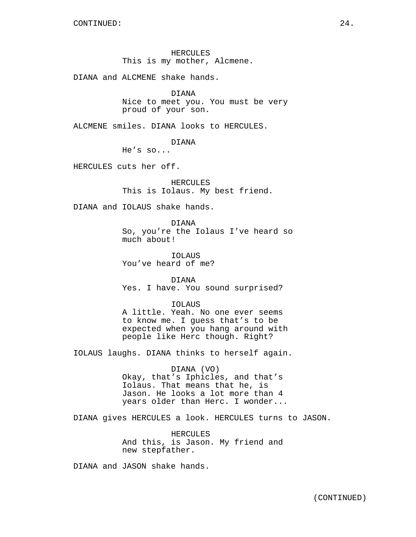HERCULES This is my mother, Alcmene.

DIANA and ALCMENE shake hands.

DIANA

Nice to meet you. You must be very proud of your son.

ALCMENE smiles. DIANA looks to HERCULES.

DIANA

He's so...

HERCULES cuts her off.

HERCULES This is Iolaus. My best friend.

DIANA and IOLAUS shake hands.

DIANA So, you're the Iolaus I've heard so much about!

IOLAUS You've heard of me?

DIANA Yes. I have. You sound surprised?

IOLAUS A little. Yeah. No one ever seems to know me. I guess that's to be expected when you hang around with people like Herc though. Right?

IOLAUS laughs. DIANA thinks to herself again.

## DIANA (VO) Okay, that's Iphicles, and that's Iolaus. That means that he, is Jason. He looks a lot more than 4 years older than Herc. I wonder...

DIANA gives HERCULES a look. HERCULES turns to JASON.

HERCULES And this, is Jason. My friend and new stepfather.

DIANA and JASON shake hands.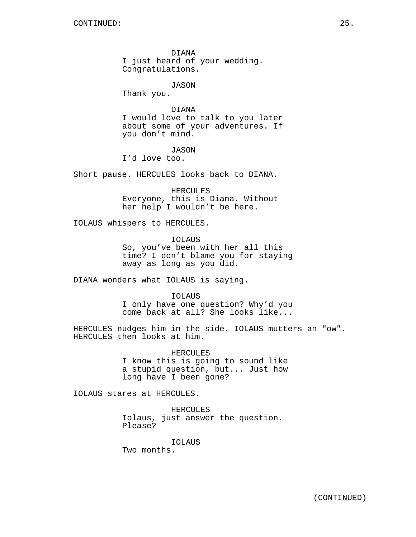DIANA I just heard of your wedding. Congratulations.

JASON

Thank you.

## DIANA

I would love to talk to you later about some of your adventures. If you don't mind.

## JASON

I'd love too.

Short pause. HERCULES looks back to DIANA.

HERCULES Everyone, this is Diana. Without her help I wouldn't be here.

IOLAUS whispers to HERCULES.

IOLAUS So, you've been with her all this time? I don't blame you for staying away as long as you did.

DIANA wonders what IOLAUS is saying.

### IOLAUS

I only have one question? Why'd you come back at all? She looks like...

HERCULES nudges him in the side. IOLAUS mutters an "ow". HERCULES then looks at him.

> HERCULES I know this is going to sound like a stupid question, but... Just how long have I been gone?

IOLAUS stares at HERCULES.

HERCULES Iolaus, just answer the question. Please?

IOLAUS Two months.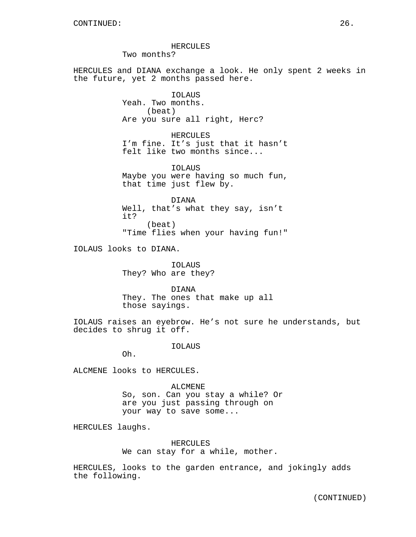#### HERCULES

Two months?

HERCULES and DIANA exchange a look. He only spent 2 weeks in the future, yet 2 months passed here.

> IOLAUS Yeah. Two months. (beat) Are you sure all right, Herc?

HERCULES I'm fine. It's just that it hasn't felt like two months since...

IOLAUS Maybe you were having so much fun, that time just flew by.

DIANA Well, that's what they say, isn't it? (beat) "Time flies when your having fun!"

IOLAUS looks to DIANA.

IOLAUS They? Who are they?

DIANA They. The ones that make up all those sayings.

IOLAUS raises an eyebrow. He's not sure he understands, but decides to shrug it off.

IOLAUS

Oh.

ALCMENE looks to HERCULES.

ALCMENE So, son. Can you stay a while? Or are you just passing through on your way to save some...

HERCULES laughs.

HERCULES We can stay for a while, mother.

HERCULES, looks to the garden entrance, and jokingly adds the following.

(CONTINUED)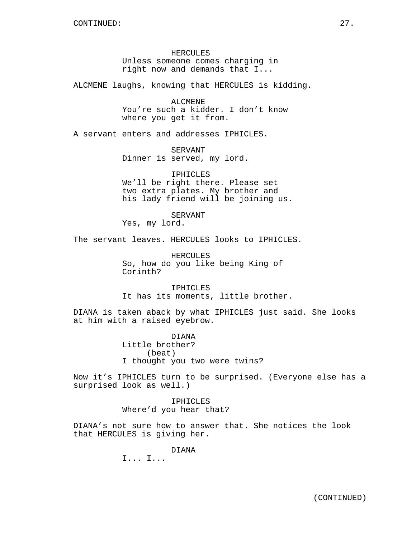HERCULES Unless someone comes charging in right now and demands that I...

ALCMENE laughs, knowing that HERCULES is kidding.

ALCMENE You're such a kidder. I don't know where you get it from.

A servant enters and addresses IPHICLES.

SERVANT Dinner is served, my lord.

IPHICLES We'll be right there. Please set two extra plates. My brother and his lady friend will be joining us.

SERVANT

Yes, my lord.

The servant leaves. HERCULES looks to IPHICLES.

HERCULES So, how do you like being King of Corinth?

IPHICLES It has its moments, little brother.

DIANA is taken aback by what IPHICLES just said. She looks at him with a raised eyebrow.

> DIANA Little brother? (beat) I thought you two were twins?

Now it's IPHICLES turn to be surprised. (Everyone else has a surprised look as well.)

> IPHICLES Where'd you hear that?

DIANA's not sure how to answer that. She notices the look that HERCULES is giving her.

DIANA

I... I...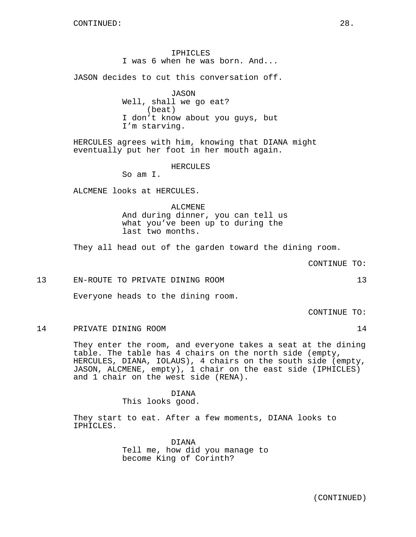IPHICLES I was 6 when he was born. And...

JASON decides to cut this conversation off.

JASON Well, shall we go eat? (beat) I don't know about you guys, but I'm starving.

HERCULES agrees with him, knowing that DIANA might eventually put her foot in her mouth again.

HERCULES

So am I.

ALCMENE looks at HERCULES.

ALCMENE And during dinner, you can tell us what you've been up to during the last two months.

They all head out of the garden toward the dining room.

CONTINUE TO:

13 EN-ROUTE TO PRIVATE DINING ROOM 13

Everyone heads to the dining room.

CONTINUE TO:

14 PRIVATE DINING ROOM 14

They enter the room, and everyone takes a seat at the dining table. The table has 4 chairs on the north side (empty, HERCULES, DIANA, IOLAUS), 4 chairs on the south side (empty, JASON, ALCMENE, empty), 1 chair on the east side (IPHICLES) and 1 chair on the west side (RENA).

> DIANA This looks good.

They start to eat. After a few moments, DIANA looks to IPHICLES.

> DIANA Tell me, how did you manage to become King of Corinth?

> > (CONTINUED)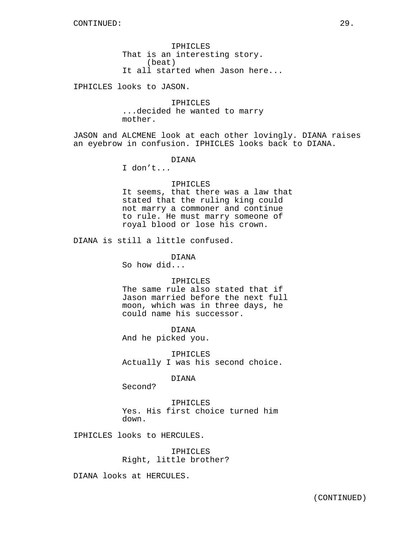IPHICLES That is an interesting story. (beat) It all started when Jason here...

IPHICLES looks to JASON.

IPHICLES ...decided he wanted to marry mother.

JASON and ALCMENE look at each other lovingly. DIANA raises an eyebrow in confusion. IPHICLES looks back to DIANA.

## DIANA

I don't...

### IPHICLES

It seems, that there was a law that stated that the ruling king could not marry a commoner and continue to rule. He must marry someone of royal blood or lose his crown.

DIANA is still a little confused.

DIANA So how did...

### IPHICLES

The same rule also stated that if Jason married before the next full moon, which was in three days, he could name his successor.

DIANA And he picked you.

IPHICLES Actually I was his second choice.

### DIANA

Second?

IPHICLES Yes. His first choice turned him down.

IPHICLES looks to HERCULES.

IPHICLES Right, little brother?

DIANA looks at HERCULES.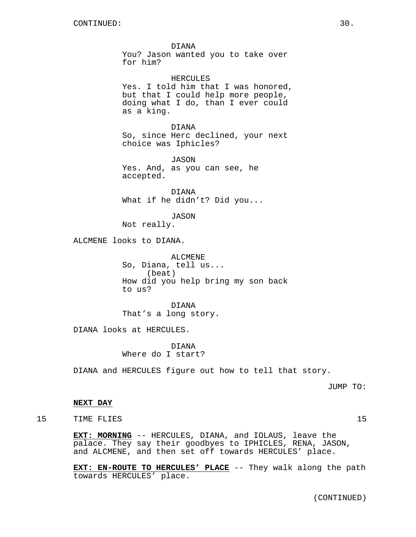DIANA You? Jason wanted you to take over for him?

HERCULES Yes. I told him that I was honored, but that I could help more people, doing what I do, than I ever could as a king.

DIANA So, since Herc declined, your next choice was Iphicles?

JASON Yes. And, as you can see, he accepted.

DIANA What if he didn't? Did you...

JASON

Not really.

ALCMENE looks to DIANA.

ALCMENE So, Diana, tell us... (beat) How did you help bring my son back to us?

DIANA That's a long story.

DIANA looks at HERCULES.

DIANA Where do I start?

DIANA and HERCULES figure out how to tell that story.

JUMP TO:

## **NEXT DAY**

15 TIME FLIES 25 20 15

**EXT: MORNING** -- HERCULES, DIANA, and IOLAUS, leave the palace. They say their goodbyes to IPHICLES, RENA, JASON, and ALCMENE, and then set off towards HERCULES' place.

**EXT: EN-ROUTE TO HERCULES' PLACE** -- They walk along the path towards HERCULES' place.

(CONTINUED)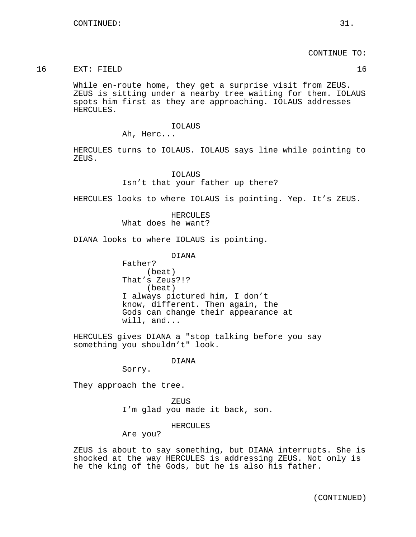CONTINUE TO:

## 16 EXT: FIELD 16

While en-route home, they get a surprise visit from ZEUS. ZEUS is sitting under a nearby tree waiting for them. IOLAUS spots him first as they are approaching. IOLAUS addresses HERCULES.

### IOLAUS

Ah, Herc...

HERCULES turns to IOLAUS. IOLAUS says line while pointing to ZEUS.

# IOLAUS Isn't that your father up there?

HERCULES looks to where IOLAUS is pointing. Yep. It's ZEUS.

**HERCULES** What does he want?

DIANA looks to where IOLAUS is pointing.

DIANA

Father? (beat) That's Zeus?!? (beat) I always pictured him, I don't know, different. Then again, the Gods can change their appearance at will, and...

HERCULES gives DIANA a "stop talking before you say something you shouldn't" look.

### DIANA

Sorry.

They approach the tree.

ZEUS I'm glad you made it back, son.

HERCULES

Are you?

ZEUS is about to say something, but DIANA interrupts. She is shocked at the way HERCULES is addressing ZEUS. Not only is he the king of the Gods, but he is also his father.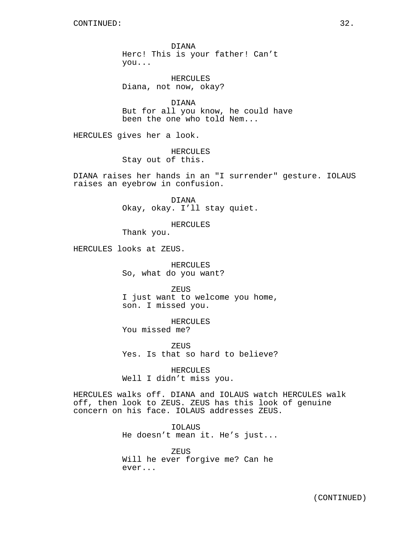DIANA Herc! This is your father! Can't you...

HERCULES Diana, not now, okay?

DIANA But for all you know, he could have been the one who told Nem...

HERCULES gives her a look.

HERCULES Stay out of this.

DIANA raises her hands in an "I surrender" gesture. IOLAUS raises an eyebrow in confusion.

> DIANA Okay, okay. I'll stay quiet.

HERCULES

Thank you.

HERCULES looks at ZEUS.

HERCULES So, what do you want?

ZEUS I just want to welcome you home, son. I missed you.

HERCULES You missed me?

ZEUS Yes. Is that so hard to believe?

HERCULES Well I didn't miss you.

HERCULES walks off. DIANA and IOLAUS watch HERCULES walk off, then look to ZEUS. ZEUS has this look of genuine concern on his face. IOLAUS addresses ZEUS.

> IOLAUS He doesn't mean it. He's just...

ZEUS Will he ever forgive me? Can he ever...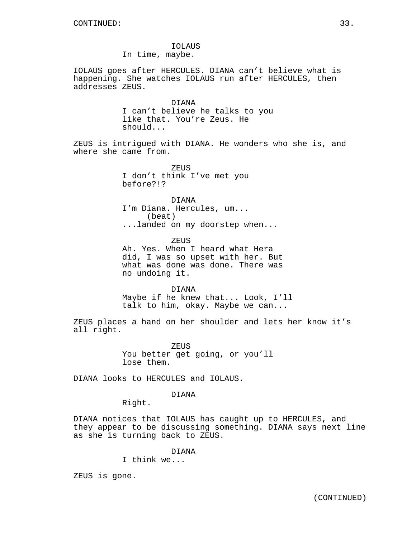IOLAUS In time, maybe.

IOLAUS goes after HERCULES. DIANA can't believe what is happening. She watches IOLAUS run after HERCULES, then addresses ZEUS.

> DIANA I can't believe he talks to you like that. You're Zeus. He should...

ZEUS is intrigued with DIANA. He wonders who she is, and where she came from.

> ZEUS I don't think I've met you before?!?

DIANA I'm Diana. Hercules, um... (beat) ...landed on my doorstep when...

ZEUS

Ah. Yes. When I heard what Hera did, I was so upset with her. But what was done was done. There was no undoing it.

DIANA

Maybe if he knew that... Look, I'll talk to him, okay. Maybe we can...

ZEUS places a hand on her shoulder and lets her know it's all right.

> ZEUS You better get going, or you'll lose them.

DIANA looks to HERCULES and IOLAUS.

DIANA

Right.

DIANA notices that IOLAUS has caught up to HERCULES, and they appear to be discussing something. DIANA says next line as she is turning back to ZEUS.

DIANA

I think we...

ZEUS is gone.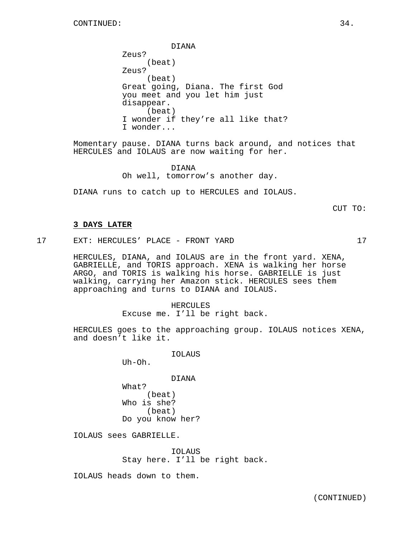DIANA

Zeus? (beat) Zeus? (beat) Great going, Diana. The first God you meet and you let him just disappear. (beat) I wonder if they're all like that? I wonder...

Momentary pause. DIANA turns back around, and notices that HERCULES and IOLAUS are now waiting for her.

> DIANA Oh well, tomorrow's another day.

DIANA runs to catch up to HERCULES and IOLAUS.

CUT TO:

### **3 DAYS LATER**

17 EXT: HERCULES' PLACE - FRONT YARD 17

HERCULES, DIANA, and IOLAUS are in the front yard. XENA, GABRIELLE, and TORIS approach. XENA is walking her horse ARGO, and TORIS is walking his horse. GABRIELLE is just walking, carrying her Amazon stick. HERCULES sees them approaching and turns to DIANA and IOLAUS.

> HERCULES Excuse me. I'll be right back.

HERCULES goes to the approaching group. IOLAUS notices XENA, and doesn't like it.

IOLAUS

Uh-Oh.

DIANA What? (beat) Who is she? (beat) Do you know her?

IOLAUS sees GABRIELLE.

IOLAUS Stay here. I'll be right back.

IOLAUS heads down to them.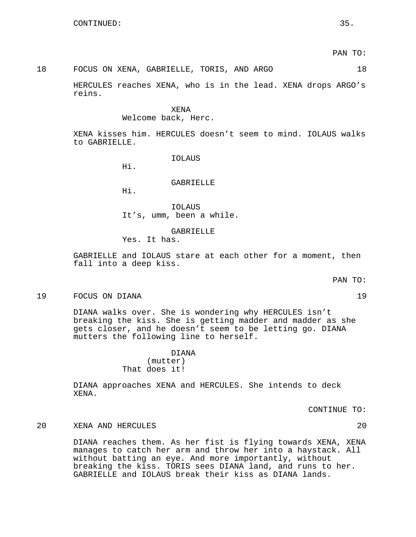### 18 FOCUS ON XENA, GABRIELLE, TORIS, AND ARGO 18

HERCULES reaches XENA, who is in the lead. XENA drops ARGO's reins.

#### XENA

#### Welcome back, Herc.

XENA kisses him. HERCULES doesn't seem to mind. IOLAUS walks to GABRIELLE.

IOLAUS

Hi.

### GABRIELLE

Hi.

IOLAUS It's, umm, been a while.

## GABRIELLE

Yes. It has.

GABRIELLE and IOLAUS stare at each other for a moment, then fall into a deep kiss.

PAN TO:

### 19 FOCUS ON DIANA 19

DIANA walks over. She is wondering why HERCULES isn't breaking the kiss. She is getting madder and madder as she gets closer, and he doesn't seem to be letting go. DIANA mutters the following line to herself.

## DIANA (mutter) That does it!

DIANA approaches XENA and HERCULES. She intends to deck XENA.

CONTINUE TO:

### 20 XENA AND HERCULES 20

DIANA reaches them. As her fist is flying towards XENA, XENA manages to catch her arm and throw her into a haystack. All without batting an eye. And more importantly, without breaking the kiss. TORIS sees DIANA land, and runs to her. GABRIELLE and IOLAUS break their kiss as DIANA lands.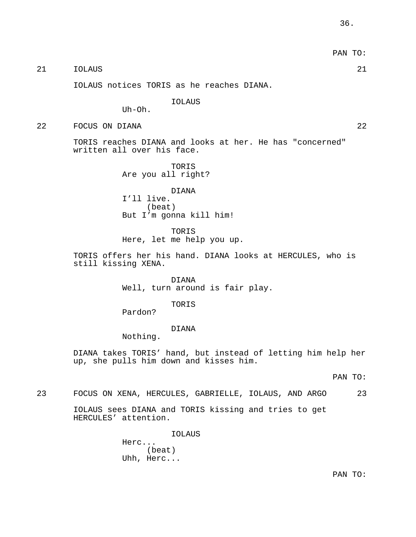21 IOLAUS 21

IOLAUS notices TORIS as he reaches DIANA.

IOLAUS

 $Uh$ - $Oh$ .

22 FOCUS ON DIANA 22

TORIS reaches DIANA and looks at her. He has "concerned" written all over his face.

> TORIS Are you all right?

DIANA I'll live. (beat) But I'm gonna kill him!

TORIS Here, let me help you up.

TORIS offers her his hand. DIANA looks at HERCULES, who is still kissing XENA.

> DIANA Well, turn around is fair play.

> > TORIS

Pardon?

## DIANA

Nothing.

DIANA takes TORIS' hand, but instead of letting him help her up, she pulls him down and kisses him.

PAN TO:

23 FOCUS ON XENA, HERCULES, GABRIELLE, IOLAUS, AND ARGO 23

IOLAUS sees DIANA and TORIS kissing and tries to get HERCULES' attention.

> IOLAUS Herc... (beat) Uhh, Herc...

> > PAN TO: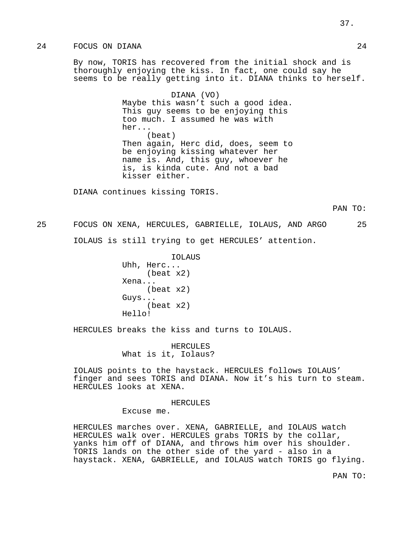## 24 FOCUS ON DIANA 24

By now, TORIS has recovered from the initial shock and is thoroughly enjoying the kiss. In fact, one could say he seems to be really getting into it. DIANA thinks to herself.

> DIANA (VO) Maybe this wasn't such a good idea. This guy seems to be enjoying this too much. I assumed he was with her... (beat) Then again, Herc did, does, seem to be enjoying kissing whatever her name is. And, this guy, whoever he is, is kinda cute. And not a bad kisser either.

DIANA continues kissing TORIS.

25 FOCUS ON XENA, HERCULES, GABRIELLE, IOLAUS, AND ARGO 25 IOLAUS is still trying to get HERCULES' attention.

> IOLAUS Uhh, Herc... (beat x2) Xena... (beat x2) Guys... (beat x2) Hello!

HERCULES breaks the kiss and turns to IOLAUS.

HERCULES What is it, Iolaus?

IOLAUS points to the haystack. HERCULES follows IOLAUS' finger and sees TORIS and DIANA. Now it's his turn to steam. HERCULES looks at XENA.

HERCULES

Excuse me.

HERCULES marches over. XENA, GABRIELLE, and IOLAUS watch HERCULES walk over. HERCULES grabs TORIS by the collar, yanks him off of DIANA, and throws him over his shoulder. TORIS lands on the other side of the yard - also in a haystack. XENA, GABRIELLE, and IOLAUS watch TORIS go flying.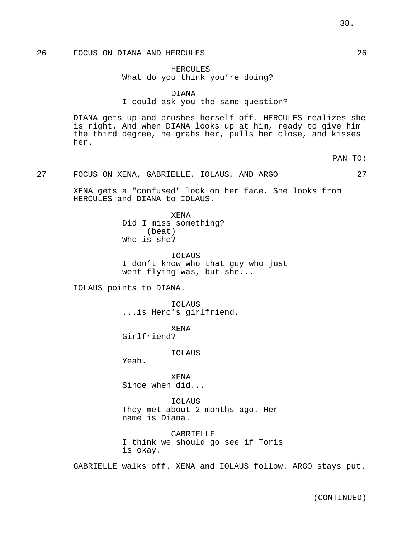## 26 FOCUS ON DIANA AND HERCULES 26

HERCULES What do you think you're doing?

DIANA

I could ask you the same question?

DIANA gets up and brushes herself off. HERCULES realizes she is right. And when DIANA looks up at him, ready to give him the third degree, he grabs her, pulls her close, and kisses her.

PAN TO:

### 27 FOCUS ON XENA, GABRIELLE, IOLAUS, AND ARGO 27

XENA gets a "confused" look on her face. She looks from HERCULES and DIANA to IOLAUS.

> XENA Did I miss something? (beat) Who is she?

IOLAUS I don't know who that guy who just went flying was, but she...

IOLAUS points to DIANA.

IOLAUS ...is Herc's girlfriend.

XENA Girlfriend?

IOLAUS

Yeah.

XENA Since when did...

IOLAUS They met about 2 months ago. Her name is Diana.

GABRIELLE I think we should go see if Toris is okay.

GABRIELLE walks off. XENA and IOLAUS follow. ARGO stays put.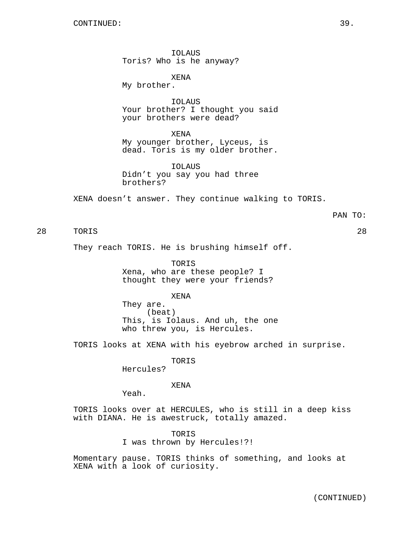IOLAUS Toris? Who is he anyway?

XENA My brother.

IOLAUS Your brother? I thought you said your brothers were dead?

XENA My younger brother, Lyceus, is dead. Toris is my older brother.

IOLAUS Didn't you say you had three brothers?

XENA doesn't answer. They continue walking to TORIS.

PAN TO:

28 TORIS 28

They reach TORIS. He is brushing himself off.

TORIS Xena, who are these people? I thought they were your friends?

XENA They are. (beat) This, is Iolaus. And uh, the one

TORIS looks at XENA with his eyebrow arched in surprise.

TORIS

who threw you, is Hercules.

Hercules?

XENA

Yeah.

TORIS looks over at HERCULES, who is still in a deep kiss with DIANA. He is awestruck, totally amazed.

> TORIS I was thrown by Hercules!?!

Momentary pause. TORIS thinks of something, and looks at XENA with a look of curiosity.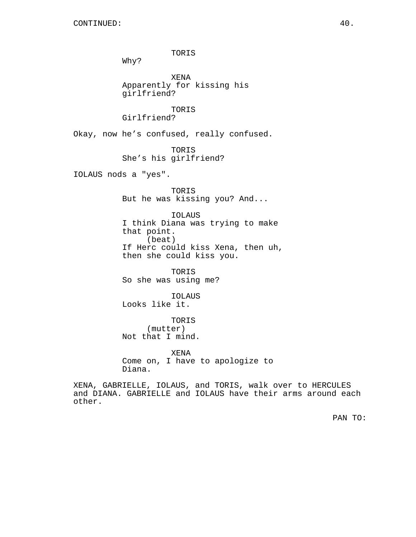other.

TORIS Why? XENA Apparently for kissing his girlfriend? TORIS Girlfriend? Okay, now he's confused, really confused. TORIS She's his girlfriend? IOLAUS nods a "yes". TORIS But he was kissing you? And... IOLAUS I think Diana was trying to make that point. (beat) If Herc could kiss Xena, then uh, then she could kiss you. TORIS So she was using me? IOLAUS Looks like it. TORIS (mutter) Not that I mind. XENA Come on, I have to apologize to Diana. XENA, GABRIELLE, IOLAUS, and TORIS, walk over to HERCULES and DIANA. GABRIELLE and IOLAUS have their arms around each

PAN TO: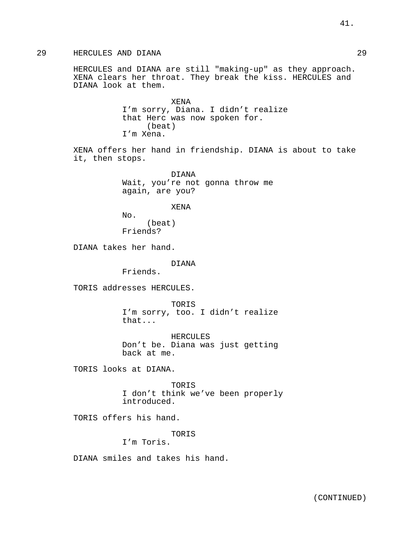29 HERCULES AND DIANA 29

HERCULES and DIANA are still "making-up" as they approach. XENA clears her throat. They break the kiss. HERCULES and DIANA look at them.

> XENA I'm sorry, Diana. I didn't realize that Herc was now spoken for. (beat) I'm Xena.

XENA offers her hand in friendship. DIANA is about to take it, then stops.

> DIANA Wait, you're not gonna throw me again, are you?

### XENA

 $No.$ (beat) Friends?

DIANA takes her hand.

#### DIANA

Friends.

TORIS addresses HERCULES.

TORIS I'm sorry, too. I didn't realize that...

HERCULES Don't be. Diana was just getting back at me.

TORIS looks at DIANA.

TORIS I don't think we've been properly introduced.

TORIS offers his hand.

TORIS

I'm Toris.

DIANA smiles and takes his hand.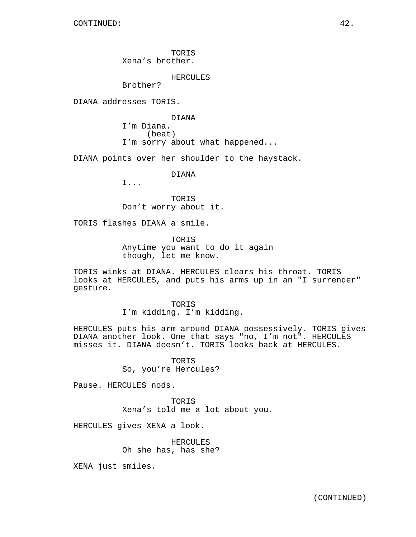TORIS Xena's brother.

HERCULES

Brother?

DIANA addresses TORIS.

DIANA I'm Diana. (beat) I'm sorry about what happened...

DIANA points over her shoulder to the haystack.

DIANA

I...

TORIS Don't worry about it.

TORIS flashes DIANA a smile.

TORIS Anytime you want to do it again though, let me know.

TORIS winks at DIANA. HERCULES clears his throat. TORIS looks at HERCULES, and puts his arms up in an "I surrender" gesture.

> TORIS I'm kidding. I'm kidding.

HERCULES puts his arm around DIANA possessively. TORIS gives DIANA another look. One that says "no, I'm not". HERCULES misses it. DIANA doesn't. TORIS looks back at HERCULES.

> TORIS So, you're Hercules?

Pause. HERCULES nods.

TORIS Xena's told me a lot about you.

HERCULES gives XENA a look.

HERCULES Oh she has, has she?

XENA just smiles.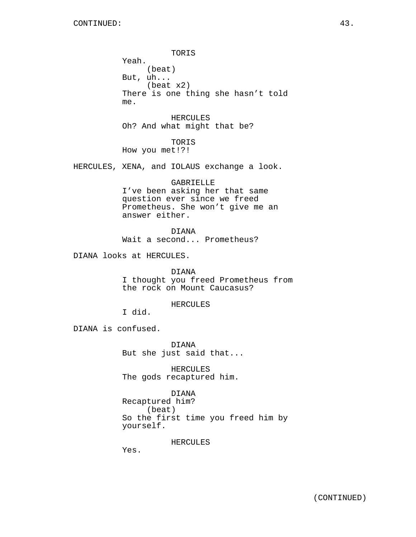TORIS Yeah. (beat) But, uh... (beat x2) There is one thing she hasn't told me.

HERCULES Oh? And what might that be?

TORIS How you met!?!

HERCULES, XENA, and IOLAUS exchange a look.

GABRIELLE I've been asking her that same question ever since we freed Prometheus. She won't give me an answer either.

DIANA

Wait a second... Prometheus?

DIANA looks at HERCULES.

DIANA I thought you freed Prometheus from the rock on Mount Caucasus?

### HERCULES

I did.

DIANA is confused.

DIANA But she just said that...

HERCULES The gods recaptured him.

## DIANA

Recaptured him? (beat) So the first time you freed him by yourself.

HERCULES

Yes.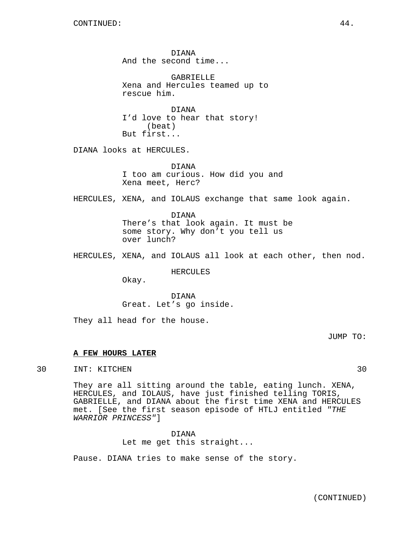DIANA And the second time...

GABRIELLE Xena and Hercules teamed up to rescue him.

DIANA I'd love to hear that story! (beat) But first...

DIANA looks at HERCULES.

DIANA I too am curious. How did you and Xena meet, Herc?

HERCULES, XENA, and IOLAUS exchange that same look again.

DIANA There's that look again. It must be some story. Why don't you tell us over lunch?

HERCULES, XENA, and IOLAUS all look at each other, then nod.

HERCULES

Okay.

DIANA Great. Let's go inside.

They all head for the house.

JUMP TO:

#### **A FEW HOURS LATER**

30 INT: KITCHEN 30

They are all sitting around the table, eating lunch. XENA, HERCULES, and IOLAUS, have just finished telling TORIS, GABRIELLE, and DIANA about the first time XENA and HERCULES met. [See the first season episode of HTLJ entitled "THE WARRIOR PRINCESS"]

DIANA

Let me get this straight...

Pause. DIANA tries to make sense of the story.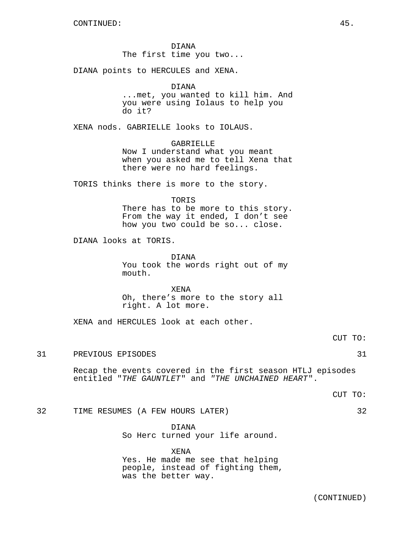DIANA The first time you two...

DIANA points to HERCULES and XENA.

#### DIANA

...met, you wanted to kill him. And you were using Iolaus to help you do it?

XENA nods. GABRIELLE looks to IOLAUS.

## GABRIELLE

Now I understand what you meant when you asked me to tell Xena that there were no hard feelings.

TORIS thinks there is more to the story.

TORIS

There has to be more to this story. From the way it ended, I don't see how you two could be so... close.

DIANA looks at TORIS.

DIANA

You took the words right out of my mouth.

XENA Oh, there's more to the story all right. A lot more.

XENA and HERCULES look at each other.

CUT TO:

## 31 PREVIOUS EPISODES 31

Recap the events covered in the first season HTLJ episodes entitled "THE GAUNTLET" and "THE UNCHAINED HEART".

CUT TO:

```
32 TIME RESUMES (A FEW HOURS LATER) 32
```
DIANA So Herc turned your life around.

XENA Yes. He made me see that helping people, instead of fighting them, was the better way.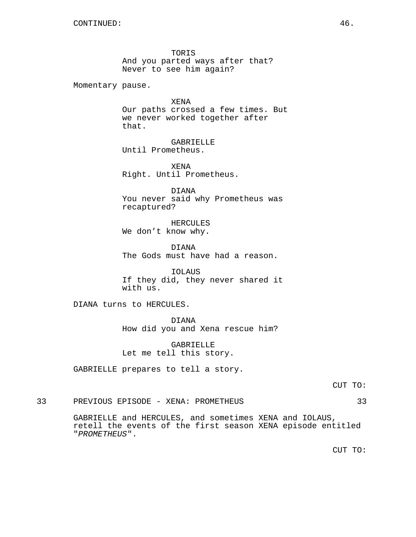TORIS And you parted ways after that? Never to see him again?

Momentary pause.

XENA Our paths crossed a few times. But we never worked together after that.

GABRIELLE Until Prometheus.

XENA Right. Until Prometheus.

DIANA You never said why Prometheus was recaptured?

HERCULES We don't know why.

DIANA The Gods must have had a reason.

IOLAUS If they did, they never shared it with us.

DIANA turns to HERCULES.

DIANA How did you and Xena rescue him?

GABRIELLE Let me tell this story.

GABRIELLE prepares to tell a story.

33 PREVIOUS EPISODE - XENA: PROMETHEUS 33

GABRIELLE and HERCULES, and sometimes XENA and IOLAUS, retell the events of the first season XENA episode entitled "PROMETHEUS".

CUT TO: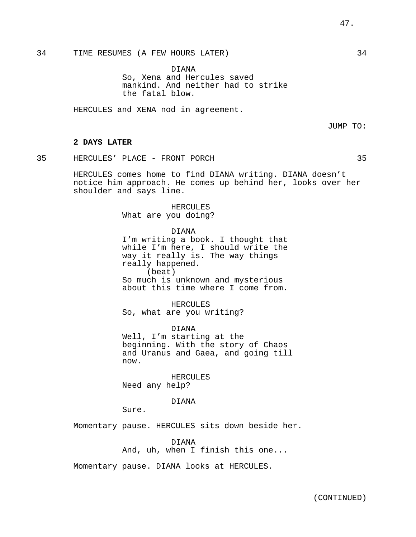DIANA So, Xena and Hercules saved mankind. And neither had to strike the fatal blow.

HERCULES and XENA nod in agreement.

JUMP TO:

### **2 DAYS LATER**

35 HERCULES' PLACE - FRONT PORCH 35

HERCULES comes home to find DIANA writing. DIANA doesn't notice him approach. He comes up behind her, looks over her shoulder and says line.

> HERCULES What are you doing?

DIANA I'm writing a book. I thought that while I'm here, I should write the way it really is. The way things really happened. (beat) So much is unknown and mysterious about this time where I come from.

HERCULES So, what are you writing?

DIANA Well, I'm starting at the beginning. With the story of Chaos and Uranus and Gaea, and going till now.

HERCULES Need any help?

DIANA

Sure.

Momentary pause. HERCULES sits down beside her.

DIANA And, uh, when I finish this one...

Momentary pause. DIANA looks at HERCULES.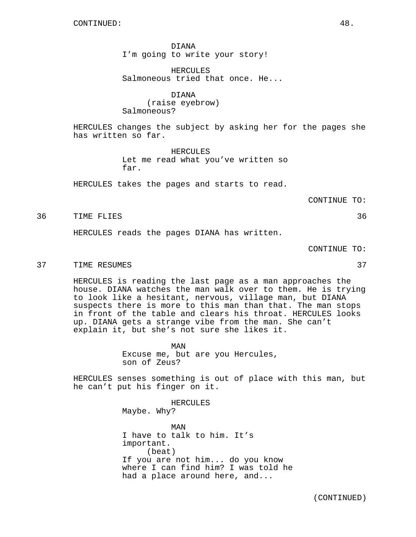DIANA I'm going to write your story!

HERCULES Salmoneous tried that once. He...

DIANA (raise eyebrow) Salmoneous?

HERCULES changes the subject by asking her for the pages she has written so far.

> HERCULES Let me read what you've written so far.

HERCULES takes the pages and starts to read.

CONTINUE TO:

36 TIME FLIES 36

HERCULES reads the pages DIANA has written.

CONTINUE TO:

37 TIME RESUMES 37

HERCULES is reading the last page as a man approaches the house. DIANA watches the man walk over to them. He is trying to look like a hesitant, nervous, village man, but DIANA suspects there is more to this man than that. The man stops in front of the table and clears his throat. HERCULES looks up. DIANA gets a strange vibe from the man. She can't explain it, but she's not sure she likes it.

> MAN Excuse me, but are you Hercules, son of Zeus?

HERCULES senses something is out of place with this man, but he can't put his finger on it.

> HERCULES Maybe. Why? MAN I have to talk to him. It's important. (beat) If you are not him... do you know where I can find him? I was told he had a place around here, and...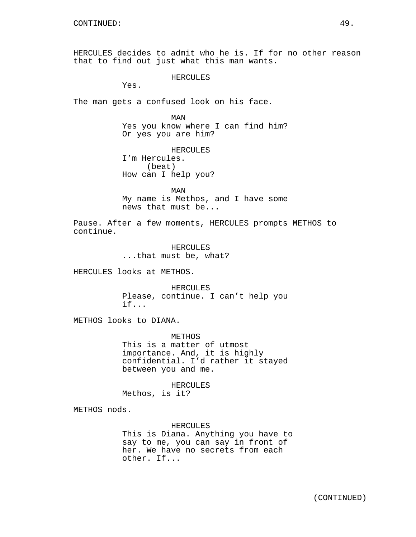HERCULES decides to admit who he is. If for no other reason that to find out just what this man wants.

HERCULES

Yes.

The man gets a confused look on his face.

MAN Yes you know where I can find him? Or yes you are him?

HERCULES I'm Hercules. (beat) How can I help you?

MAN My name is Methos, and I have some news that must be...

Pause. After a few moments, HERCULES prompts METHOS to continue.

> HERCULES ...that must be, what?

HERCULES looks at METHOS.

HERCULES Please, continue. I can't help you if...

METHOS looks to DIANA.

METHOS This is a matter of utmost importance. And, it is highly confidential. I'd rather it stayed between you and me.

HERCULES Methos, is it?

METHOS nods.

HERCULES This is Diana. Anything you have to say to me, you can say in front of her. We have no secrets from each other. If...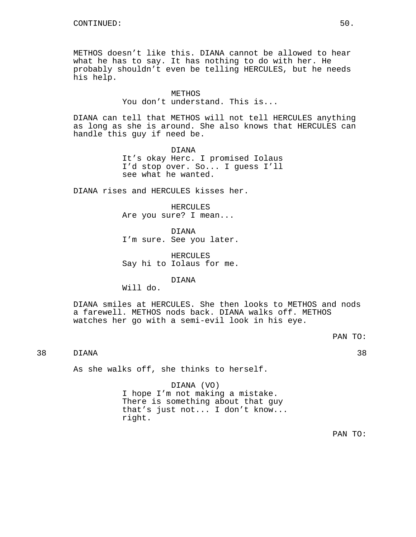METHOS doesn't like this. DIANA cannot be allowed to hear what he has to say. It has nothing to do with her. He probably shouldn't even be telling HERCULES, but he needs his help.

#### METHOS

You don't understand. This is...

DIANA can tell that METHOS will not tell HERCULES anything as long as she is around. She also knows that HERCULES can handle this guy if need be.

> DIANA It's okay Herc. I promised Iolaus I'd stop over. So... I guess I'll see what he wanted.

DIANA rises and HERCULES kisses her.

HERCULES Are you sure? I mean...

DIANA I'm sure. See you later.

HERCULES Say hi to Iolaus for me.

DIANA

Will do.

DIANA smiles at HERCULES. She then looks to METHOS and nods a farewell. METHOS nods back. DIANA walks off. METHOS watches her go with a semi-evil look in his eye.

PAN TO:

38 DIANA 38

As she walks off, she thinks to herself.

DIANA (VO) I hope I'm not making a mistake. There is something about that guy that's just not... I don't know... right.

PAN TO: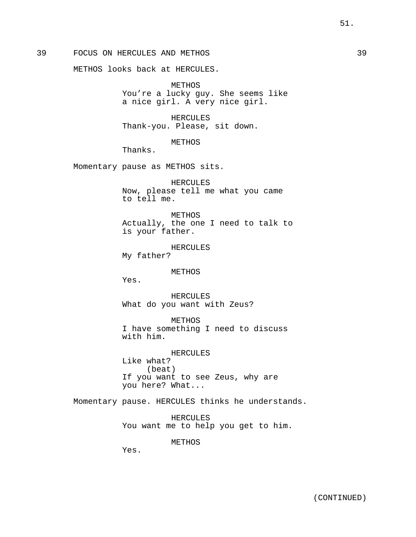39 FOCUS ON HERCULES AND METHOS 39

METHOS looks back at HERCULES.

METHOS You're a lucky guy. She seems like a nice girl. A very nice girl.

HERCULES Thank-you. Please, sit down.

METHOS

Thanks.

Momentary pause as METHOS sits.

HERCULES Now, please tell me what you came to tell me.

METHOS Actually, the one I need to talk to is your father.

HERCULES My father?

#### METHOS

Yes.

HERCULES What do you want with Zeus?

METHOS

I have something I need to discuss with him.

HERCULES Like what? (beat) If you want to see Zeus, why are you here? What...

Momentary pause. HERCULES thinks he understands.

HERCULES You want me to help you get to him.

METHOS

Yes.